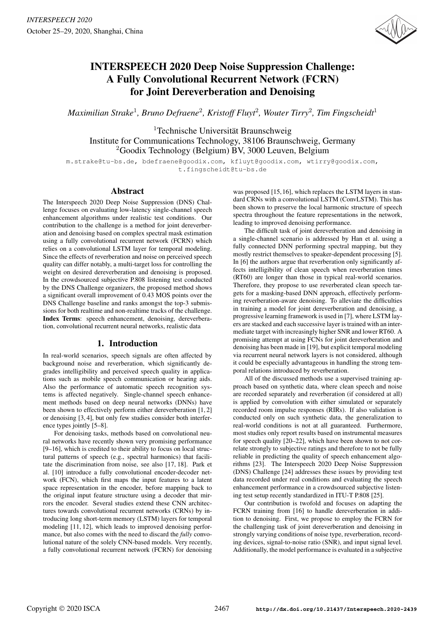

# INTERSPEECH 2020 Deep Noise Suppression Challenge: A Fully Convolutional Recurrent Network (FCRN) for Joint Dereverberation and Denoising

*Maximilian Strake*<sup>1</sup> *, Bruno Defraene*<sup>2</sup> *, Kristoff Fluyt*<sup>2</sup> *, Wouter Tirry*<sup>2</sup> *, Tim Fingscheidt*<sup>1</sup>

<sup>1</sup>Technische Universität Braunschweig Institute for Communications Technology, 38106 Braunschweig, Germany <sup>2</sup>Goodix Technology (Belgium) BV, 3000 Leuven, Belgium

m.strake@tu-bs.de, bdefraene@goodix.com, kfluyt@goodix.com, wtirry@goodix.com, t.fingscheidt@tu-bs.de

## Abstract

The Interspeech 2020 Deep Noise Suppression (DNS) Challenge focuses on evaluating low-latency single-channel speech enhancement algorithms under realistic test conditions. Our contribution to the challenge is a method for joint dereverberation and denoising based on complex spectral mask estimation using a fully convolutional recurrent network (FCRN) which relies on a convolutional LSTM layer for temporal modeling. Since the effects of reverberation and noise on perceived speech quality can differ notably, a multi-target loss for controlling the weight on desired dereverberation and denoising is proposed. In the crowdsourced subjective P.808 listening test conducted by the DNS Challenge organizers, the proposed method shows a significant overall improvement of 0.43 MOS points over the DNS Challenge baseline and ranks amongst the top-3 submissions for both realtime and non-realtime tracks of the challenge. Index Terms: speech enhancement, denoising, dereverberation, convolutional recurrent neural networks, realistic data

## 1. Introduction

In real-world scenarios, speech signals are often affected by background noise and reverberation, which significantly degrades intelligibility and perceived speech quality in applications such as mobile speech communication or hearing aids. Also the performance of automatic speech recognition systems is affected negatively. Single-channel speech enhancement methods based on deep neural networks (DNNs) have been shown to effectively perform either dereverberation [1, 2] or denoising [3, 4], but only few studies consider both interference types jointly [5–8].

For denoising tasks, methods based on convolutional neural networks have recently shown very promising performance [9–16], which is credited to their ability to focus on local structural patterns of speech (e.g., spectral harmonics) that facilitate the discrimination from noise, see also [17, 18]. Park et al. [10] introduce a fully convolutional encoder-decoder network (FCN), which first maps the input features to a latent space representation in the encoder, before mapping back to the original input feature structure using a decoder that mirrors the encoder. Several studies extend these CNN architectures towards convolutional recurrent networks (CRNs) by introducing long short-term memory (LSTM) layers for temporal modeling [11, 12], which leads to improved denoising performance, but also comes with the need to discard the *fully* convolutional nature of the solely CNN-based models. Very recently, a fully convolutional recurrent network (FCRN) for denoising

was proposed [15, 16], which replaces the LSTM layers in standard CRNs with a convolutional LSTM (ConvLSTM). This has been shown to preserve the local harmonic structure of speech spectra throughout the feature representations in the network, leading to improved denoising performance.

The difficult task of joint dereverberation and denoising in a single-channel scenario is addressed by Han et al. using a fully connected DNN performing spectral mapping, but they mostly restrict themselves to speaker-dependent processing [5]. In [6] the authors argue that reverberation only significantly affects intelligibility of clean speech when reverberation times (RT60) are longer than those in typical real-world scenarios. Therefore, they propose to use reverberated clean speech targets for a masking-based DNN approach, effectively performing reverberation-aware denoising. To alleviate the difficulties in training a model for joint dereverberation and denoising, a progressive learning framework is used in [7], where LSTM layers are stacked and each successive layer is trained with an intermediate target with increasingly higher SNR and lower RT60. A promising attempt at using FCNs for joint dereverberation and denoising has been made in [19], but explicit temporal modeling via recurrent neural network layers is not considered, although it could be especially advantageous in handling the strong temporal relations introduced by reverberation.

All of the discussed methods use a supervised training approach based on synthetic data, where clean speech and noise are recorded separately and reverberation (if considered at all) is applied by convolution with either simulated or separately recorded room impulse responses (RIRs). If also validation is conducted only on such synthetic data, the generalization to real-world conditions is not at all guaranteed. Furthermore, most studies only report results based on instrumental measures for speech quality [20–22], which have been shown to not correlate strongly to subjective ratings and therefore to not be fully reliable in predicting the quality of speech enhancement algorithms [23]. The Interspeech 2020 Deep Noise Suppression (DNS) Challenge [24] addresses these issues by providing test data recorded under real conditions and evaluating the speech enhancement performance in a crowdsourced subjective listening test setup recently standardized in ITU-T P.808 [25].

Our contribution is twofold and focuses on adapting the FCRN training from [16] to handle dereverberation in addition to denoising. First, we propose to employ the FCRN for the challenging task of joint dereverberation and denoising in strongly varying conditions of noise type, reverberation, recording devices, signal-to-noise ratio (SNR), and input signal level. Additionally, the model performance is evaluated in a subjective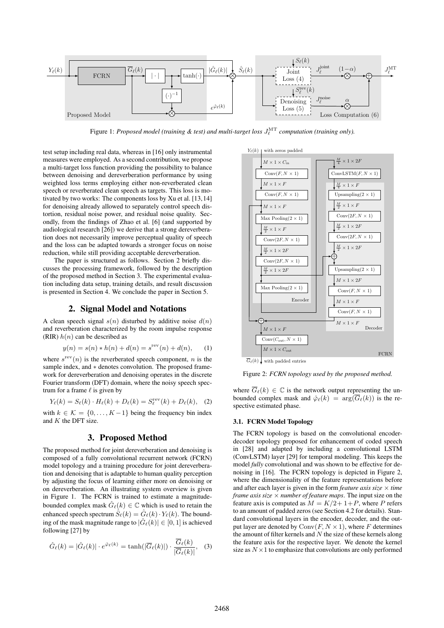

Figure 1: *Proposed model (training & test) and multi-target loss*  $J_{\ell}^{\text{MT}}$  *computation (training only).* 

test setup including real data, whereas in [16] only instrumental measures were employed. As a second contribution, we propose a multi-target loss function providing the possibility to balance between denoising and dereverberation performance by using weighted loss terms employing either non-reverberated clean speech or reverberated clean speech as targets. This loss is motivated by two works: The components loss by Xu et al. [13,14] for denoising already allowed to separately control speech distortion, residual noise power, and residual noise quality. Secondly, from the findings of Zhao et al. [6] (and supported by audiological research [26]) we derive that a strong dereverberation does not necessarily improve perceptual quality of speech and the loss can be adapted towards a stronger focus on noise reduction, while still providing acceptable dereverberation.

The paper is structured as follows. Section 2 briefly discusses the processing framework, followed by the description of the proposed method in Section 3. The experimental evaluation including data setup, training details, and result discussion is presented in Section 4. We conclude the paper in Section 5.

## 2. Signal Model and Notations

A clean speech signal  $s(n)$  disturbed by additive noise  $d(n)$ and reverberation characterized by the room impulse response (RIR)  $h(n)$  can be described as

$$
y(n) = s(n) * h(n) + d(n) = srev(n) + d(n),
$$
 (1)

where  $s^{\text{rev}}(n)$  is the reverberated speech component, n is the sample index, and \* denotes convolution. The proposed framework for dereverberation and denoising operates in the discrete Fourier transform (DFT) domain, where the noisy speech spectrum for a frame  $\ell$  is given by

$$
Y_{\ell}(k) = S_{\ell}(k) \cdot H_{\ell}(k) + D_{\ell}(k) = S_{\ell}^{\text{rev}}(k) + D_{\ell}(k), \quad (2)
$$

with  $k \in \mathcal{K} = \{0, \ldots, K-1\}$  being the frequency bin index and K the DFT size.

# 3. Proposed Method

The proposed method for joint dereverberation and denoising is composed of a fully convolutional recurrent network (FCRN) model topology and a training procedure for joint dereverberation and denoising that is adaptable to human quality perception by adjusting the focus of learning either more on denoising or on dereverberation. An illustrating system overview is given in Figure 1. The FCRN is trained to estimate a magnitudebounded complex mask  $\hat{G}_{\ell}(k) \in \mathbb{C}$  which is used to retain the enhanced speech spectrum  $\hat{S}_{\ell}(k) = \hat{G}_{\ell}(k) \cdot Y_{\ell}(k)$ . The bounding of the mask magnitude range to  $|\hat{G}_{\ell}(k)| \in [0, 1]$  is achieved following [27] by

$$
\hat{G}_{\ell}(k) = |\hat{G}_{\ell}(k)| \cdot e^{\hat{\varphi}_{\ell}(k)} = \tanh(|\overline{G}_{\ell}(k)|) \cdot \frac{\overline{G}_{\ell}(k)}{|\overline{G}_{\ell}(k)|}, \quad (3)
$$



Figure 2: *FCRN topology used by the proposed method.*

where  $\overline{G}_{\ell}(k) \in \mathbb{C}$  is the network output representing the unbounded complex mask and  $\hat{\varphi}_{\ell}(k) = \arg(\overline{G}_{\ell}(k))$  is the respective estimated phase.

#### 3.1. FCRN Model Topology

The FCRN topology is based on the convolutional encoderdecoder topology proposed for enhancement of coded speech in [28] and adapted by including a convolutional LSTM (ConvLSTM) layer [29] for temporal modeling. This keeps the model *fully* convolutional and was shown to be effective for denoising in [16]. The FCRN topology is depicted in Figure 2, where the dimensionality of the feature representations before and after each layer is given in the form *feature axis size*  $\times$  *time frame axis size* × *number of feature maps*. The input size on the feature axis is computed as  $M = K/2 + 1 + P$ , where P refers to an amount of padded zeros (see Section 4.2 for details). Standard convolutional layers in the encoder, decoder, and the output layer are denoted by  $Conv(F, N \times 1)$ , where F determines the amount of filter kernels and  $N$  the size of these kernels along the feature axis for the respective layer. We denote the kernel size as  $N \times 1$  to emphasize that convolutions are only performed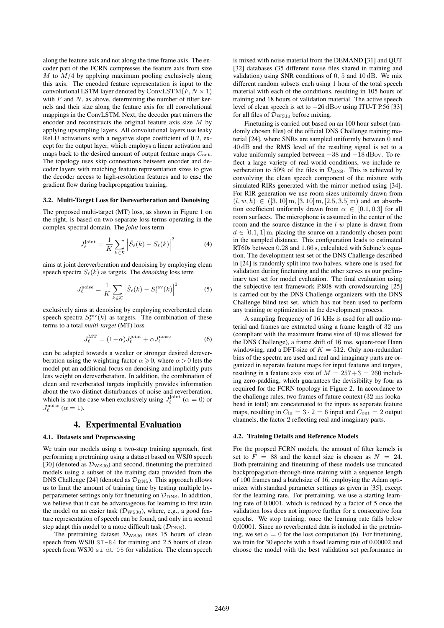along the feature axis and not along the time frame axis. The encoder part of the FCRN compresses the feature axis from size  $M$  to  $M/4$  by applying maximum pooling exclusively along this axis. The encoded feature representation is input to the convolutional LSTM layer denoted by  $ConvLSTM(F, N \times 1)$ with  $F$  and  $N$ , as above, determining the number of filter kernels and their size along the feature axis for all convolutional mappings in the ConvLSTM. Next, the decoder part mirrors the encoder and reconstructs the original feature axis size  $M$  by applying upsampling layers. All convolutional layers use leaky ReLU activations with a negative slope coefficient of 0.2, except for the output layer, which employs a linear activation and maps back to the desired amount of output feature maps  $C_{\text{out}}$ . The topology uses skip connections between encoder and decoder layers with matching feature representation sizes to give the decoder access to high-resolution features and to ease the gradient flow during backpropagation training.

#### 3.2. Multi-Target Loss for Dereverberation and Denoising

The proposed multi-target (MT) loss, as shown in Figure 1 on the right, is based on two separate loss terms operating in the complex spectral domain. The *joint* loss term

$$
J_{\ell}^{\text{joint}} = \frac{1}{K} \sum_{k \in \mathcal{K}} \left| \hat{S}_{\ell}(k) - S_{\ell}(k) \right|^2 \tag{4}
$$

aims at joint dereverberation and denoising by employing clean speech spectra  $S_{\ell}(k)$  as targets. The *denoising* loss term

$$
J_{\ell}^{\text{noise}} = \frac{1}{K} \sum_{k \in \mathcal{K}} \left| \hat{S}_{\ell}(k) - S_{\ell}^{\text{rev}}(k) \right|^2 \tag{5}
$$

exclusively aims at denoising by employing reverberated clean speech spectra  $S_{\ell}^{\text{rev}}(k)$  as targets. The combination of these terms to a total *multi-target* (MT) loss

$$
J_{\ell}^{\text{MT}} = (1 - \alpha) J_{\ell}^{\text{joint}} + \alpha J_{\ell}^{\text{noise}}
$$
 (6)

can be adapted towards a weaker or stronger desired dereverberation using the weighting factor  $\alpha \geq 0$ , where  $\alpha > 0$  lets the model put an additional focus on denoising and implicitly puts less weight on dereverberation. In addition, the combination of clean and reverberated targets implicitly provides information about the two distinct disturbances of noise and reverberation, which is not the case when exclusively using  $J_{\ell}^{\text{joint}}$  ( $\alpha = 0$ ) or  $J_{\ell}^{\text{noise}}$  ( $\alpha = 1$ ).

#### 4. Experimental Evaluation

#### 4.1. Datasets and Preprocessing

We train our models using a two-step training approach, first performing a pretraining using a dataset based on WSJ0 speech [30] (denoted as  $\mathcal{D}_{\text{WSJ0}}$ ) and second, finetuning the pretrained models using a subset of the training data provided from the DNS Challenge [24] (denoted as  $\mathcal{D}_{\text{DNS}}$ ). This approach allows us to limit the amount of training time by testing multiple hyperparameter settings only for finetuning on  $\mathcal{D}_{\text{DNS}}$ . In addition, we believe that it can be advantageous for learning to first train the model on an easier task ( $\mathcal{D}_{\text{WSJ0}}$ ), where, e.g., a good feature representation of speech can be found, and only in a second step adapt this model to a more difficult task  $(\mathcal{D}_{\text{DNS}})$ .

The pretraining dataset  $\mathcal{D}_{\text{WSJ0}}$  uses 15 hours of clean speech from WSJ0  $ST-84$  for training and 2.5 hours of clean speech from WSJ0 si\_dt\_05 for validation. The clean speech is mixed with noise material from the DEMAND [31] and QUT [32] databases (35 different noise files shared in training and validation) using SNR conditions of 0, 5 and 10 dB. We mix different random subsets each using 1 hour of the total speech material with each of the conditions, resulting in 105 hours of training and 18 hours of validation material. The active speech level of clean speech is set to −26 dBov using ITU-T P.56 [33] for all files of  $\mathcal{D}_{\text{WSJ0}}$  before mixing.

Finetuning is carried out based on an 100 hour subset (randomly chosen files) of the official DNS Challenge training material [24], where SNRs are sampled uniformly between 0 and 40 dB and the RMS level of the resulting signal is set to a value uniformly sampled between −38 and −18 dBov. To reflect a large variety of real-world conditions, we include reverberation to 50% of the files in  $\mathcal{D}_{\text{DNS}}$ . This is achieved by convolving the clean speech component of the mixture with simulated RIRs generated with the mirror method using [34]. For RIR generation we use room sizes uniformly drawn from  $(l, w, h) \in (3, 10] \text{ m}, [3, 10] \text{ m}, [2.5, 3.5] \text{ m}$  and an absorbtion coefficient uniformly drawn from  $\alpha \in [0.1, 0.3]$  for all room surfaces. The microphone is assumed in the center of the room and the source distance in the l-w-plane is drawn from  $d \in [0.1, 1]$  m, placing the source on a randomly chosen point in the sampled distance. This configuration leads to estimated RT60s between 0.28 and 1.66 s, calculated with Sabine's equation. The development test set of the DNS Challenge described in [24] is randomly split into two halves, where one is used for validation during finetuning and the other serves as our preliminary test set for model evaluation. The final evaluation using the subjective test framework P.808 with crowdsourcing [25] is carried out by the DNS Challenge organizers with the DNS Challenge blind test set, which has not been used to perform any training or optimization in the development process.

A sampling frequency of 16 kHz is used for all audio material and frames are extracted using a frame length of 32 ms (compliant with the maximum frame size of 40 ms allowed for the DNS Challenge), a frame shift of 16 ms, square-root Hann windowing, and a DFT-size of  $K = 512$ . Only non-redundant bins of the spectra are used and real and imaginary parts are organized in separate feature maps for input features and targets, resulting in a feature axis size of  $M = 257 + 3 = 260$  including zero-padding, which guarantees the devisibility by four as required for the FCRN topology in Figure 2. In accordance to the challenge rules, two frames of future context (32 ms lookahead in total) are concatenated to the inputs as separate feature maps, resulting in  $C_{\text{in}} = 3 \cdot 2 = 6$  input and  $C_{\text{out}} = 2$  output channels, the factor 2 reflecting real and imaginary parts.

#### 4.2. Training Details and Reference Models

For the propsed FCRN models, the amount of filter kernels is set to  $F = 88$  and the kernel size is chosen as  $N = 24$ . Both pretraining and finetuning of these models use truncated backpropagation-through-time training with a sequence length of 100 frames and a batchsize of 16, employing the Adam optimizer with standard parameter settings as given in [35], except for the learning rate. For pretraining, we use a starting learning rate of 0.0001, which is reduced by a factor of 5 once the validation loss does not improve further for a consecutive four epochs. We stop training, once the learning rate falls below 0.00001. Since no reverberated data is included in the pretraining, we set  $\alpha = 0$  for the loss computation (6). For finetuning, we train for 30 epochs with a fixed learning rate of 0.00002 and choose the model with the best validation set performance in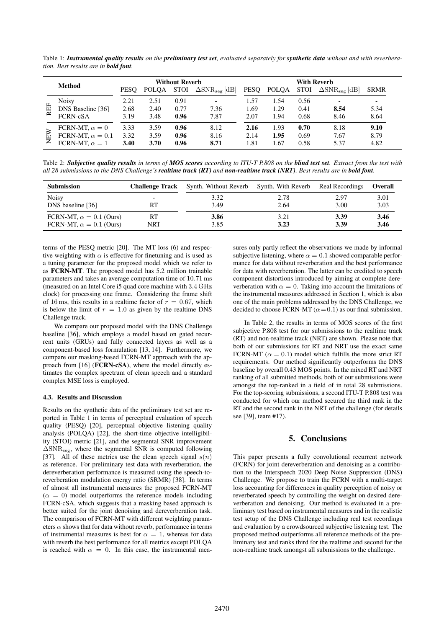Table 1: *Instrumental quality results on the preliminary test set, evaluated separately for synthetic data without and with reverberation. Best results are in bold font.*

|     |                         | <b>Without Reverb</b> |              |             |                                  | <b>With Reverb</b> |              |             |                                  |             |
|-----|-------------------------|-----------------------|--------------|-------------|----------------------------------|--------------------|--------------|-------------|----------------------------------|-------------|
|     | Method                  | <b>PESO</b>           | <b>POLOA</b> | <b>STOI</b> | $\Delta$ SNR <sub>seg</sub> [dB] | <b>PESO</b>        | <b>POLQA</b> | <b>STOI</b> | $\Delta$ SNR <sub>seg</sub> [dB] | <b>SRMR</b> |
| REF | Noisy                   | 2.21                  | 2.51         | 0.91        |                                  | 1.57               | 1.54         | 0.56        |                                  | -           |
|     | DNS Baseline [36]       | 2.68                  | 2.40         | 0.77        | 7.36                             | 1.69               | 1.29         | 0.41        | 8.54                             | 5.34        |
|     | <b>FCRN-cSA</b>         | 3.19                  | 3.48         | 0.96        | 7.87                             | 2.07               | L.94         | 0.68        | 8.46                             | 8.64        |
| EW  | FCRN-MT, $\alpha = 0$   | 3.33                  | 3.59         | 0.96        | 8.12                             | 2.16               | 1.93         | 0.70        | 8.18                             | 9.10        |
|     | FCRN-MT, $\alpha = 0.1$ | 3.32                  | 3.59         | 0.96        | 8.16                             | 2.14               | 1.95         | 0.69        | 7.67                             | 8.79        |
|     | FCRN-MT, $\alpha = 1$   | 3.40                  | 3.70         | 0.96        | 8.71                             | 1.81               | l.67         | 0.58        | 5.37                             | 4.82        |

Table 2: *Subjective quality results in terms of MOS scores according to ITU-T P.808 on the blind test set. Extract from the test with all 28 submissions to the DNS Challenge's realtime track (RT) and non-realtime track (NRT). Best results are in bold font.*

| <b>Submission</b>              | <b>Challenge Track</b> | Synth. Without Reverb | Synth. With Reverb | Real Recordings | <b>Overall</b> |
|--------------------------------|------------------------|-----------------------|--------------------|-----------------|----------------|
| <b>Noisy</b>                   | -                      | 3.32                  | 2.78               | 2.97            | 3.01           |
| DNS baseline [36]              | RT                     | 3.49                  | 2.64               | 3.00            | 3.03           |
| FCRN-MT, $\alpha = 0.1$ (Ours) | RT                     | 3.86                  | 3.21               | 3.39            | 3.46           |
| FCRN-MT, $\alpha = 0.1$ (Ours) | NRT                    | 3.85                  | 3.23               | 3.39            | 3.46           |

terms of the PESQ metric [20]. The MT loss (6) and respective weighting with  $\alpha$  is effective for finetuning and is used as a tuning parameter for the proposed model which we refer to as FCRN-MT. The proposed model has 5.2 million trainable parameters and takes an average computation time of 10.71 ms (measured on an Intel Core i5 quad core machine with 3.4 GHz clock) for processing one frame. Considering the frame shift of 16 ms, this results in a realtime factor of  $r = 0.67$ , which is below the limit of  $r = 1.0$  as given by the realtime DNS Challenge track.

We compare our proposed model with the DNS Challenge baseline [36], which employs a model based on gated recurrent units (GRUs) and fully connected layers as well as a component-based loss formulation [13, 14]. Furthermore, we compare our masking-based FCRN-MT approach with the approach from [16] (FCRN-cSA), where the model directly estimates the complex spectrum of clean speech and a standard complex MSE loss is employed.

#### 4.3. Results and Discussion

Results on the synthetic data of the preliminary test set are reported in Table 1 in terms of perceptual evaluation of speech quality (PESQ) [20], perceptual objective listening quality analysis (POLQA) [22], the short-time objective intelligibility (STOI) metric [21], and the segmental SNR improvement  $\Delta$ SNR<sub>seg</sub>, where the segmental SNR is computed following [37]. All of these metrics use the clean speech signal  $s(n)$ as reference. For preliminary test data with reverberation, the dereverberation performance is measured using the speech-toreverberation modulation energy ratio (SRMR) [38]. In terms of almost all instrumental measures the proposed FCRN-MT  $(\alpha = 0)$  model outperforms the reference models including FCRN-cSA, which suggests that a masking based approach is better suited for the joint denoising and dereverberation task. The comparison of FCRN-MT with different weighting parameters  $\alpha$  shows that for data without reverb, performance in terms of instrumental measures is best for  $\alpha = 1$ , whereas for data with reverb the best performance for all metrics except POLQA is reached with  $\alpha = 0$ . In this case, the instrumental mea-

sures only partly reflect the observations we made by informal subjective listening, where  $\alpha = 0.1$  showed comparable performance for data without reverberation and the best performance for data with reverberation. The latter can be credited to speech component distortions introduced by aiming at complete dereverberation with  $\alpha = 0$ . Taking into account the limitations of the instrumental measures addressed in Section 1, which is also one of the main problems addressed by the DNS Challenge, we decided to choose FCRN-MT ( $\alpha$  = 0.1) as our final submission.

In Table 2, the results in terms of MOS scores of the first subjective P.808 test for our submissions to the realtime track (RT) and non-realtime track (NRT) are shown. Please note that both of our submissions for RT and NRT use the exact same FCRN-MT ( $\alpha = 0.1$ ) model which fulfills the more strict RT requirements. Our method significantly outperforms the DNS baseline by overall 0.43 MOS points. In the mixed RT and NRT ranking of all submitted methods, both of our submissions were amongst the top-ranked in a field of in total 28 submissions. For the top-scoring submissions, a second ITU-T P.808 test was conducted for which our method secured the third rank in the RT and the second rank in the NRT of the challenge (for details see [39], team #17).

## 5. Conclusions

This paper presents a fully convolutional recurrent network (FCRN) for joint dereverberation and denoising as a contribution to the Interspeech 2020 Deep Noise Suppression (DNS) Challenge. We propose to train the FCRN with a multi-target loss accounting for differences in quality perception of noisy or reverberated speech by controlling the weight on desired dereverberation and denoising. Our method is evaluated in a preliminary test based on instrumental measures and in the realistic test setup of the DNS Challenge including real test recordings and evaluation by a crowdsourced subjective listening test. The proposed method outperforms all reference methods of the preliminary test and ranks third for the realtime and second for the non-realtime track amongst all submissions to the challenge.